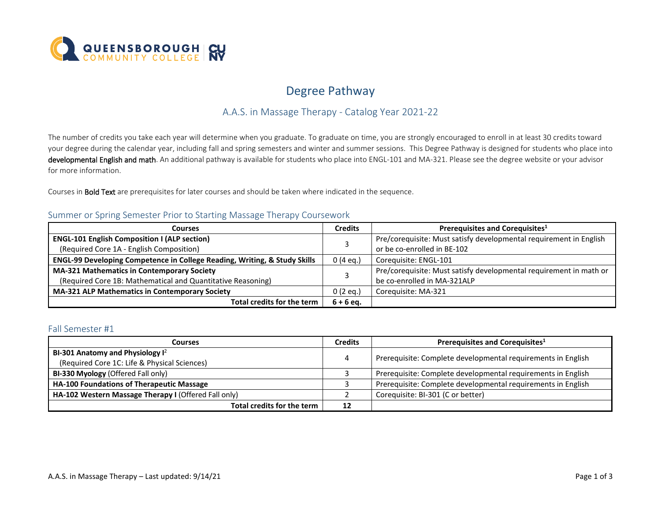

# Degree Pathway

## A.A.S. in Massage Therapy - Catalog Year 2021-22

 The number of credits you take each year will determine when you graduate. To graduate on time, you are strongly encouraged to enroll in at least 30 credits toward developmental English and math. An additional pathway is available for students who place into ENGL-101 and MA-321. Please see the degree website or your advisor your degree during the calendar year, including fall and spring semesters and winter and summer sessions. This Degree Pathway is designed for students who place into for more information.

Courses in **Bold Text** are prerequisites for later courses and should be taken where indicated in the sequence.

### Summer or Spring Semester Prior to Starting Massage Therapy Coursework

| Courses                                                                   |             | Prerequisites and Corequisites <sup>1</sup>                        |
|---------------------------------------------------------------------------|-------------|--------------------------------------------------------------------|
| <b>ENGL-101 English Composition I (ALP section)</b>                       |             | Pre/corequisite: Must satisfy developmental requirement in English |
| (Required Core 1A - English Composition)                                  |             | or be co-enrolled in BE-102                                        |
| ENGL-99 Developing Competence in College Reading, Writing, & Study Skills |             | Coreguisite: ENGL-101                                              |
| <b>MA-321 Mathematics in Contemporary Society</b>                         |             | Pre/corequisite: Must satisfy developmental requirement in math or |
| (Required Core 1B: Mathematical and Quantitative Reasoning)               |             | be co-enrolled in MA-321ALP                                        |
| <b>MA-321 ALP Mathematics in Contemporary Society</b>                     | $0(2)$ eq.) | Coreguisite: MA-321                                                |
| Total credits for the term                                                | $6 + 6$ eq. |                                                                    |

#### Fall Semester #1

| <b>Courses</b>                                       |    | Prerequisites and Corequisites <sup>1</sup>                  |  |
|------------------------------------------------------|----|--------------------------------------------------------------|--|
| BI-301 Anatomy and Physiology $I^2$                  |    |                                                              |  |
| (Required Core 1C: Life & Physical Sciences)         |    | Prerequisite: Complete developmental requirements in English |  |
| BI-330 Myology (Offered Fall only)                   |    | Prerequisite: Complete developmental requirements in English |  |
| HA-100 Foundations of Therapeutic Massage            |    | Prerequisite: Complete developmental requirements in English |  |
| HA-102 Western Massage Therapy I (Offered Fall only) |    | Corequisite: BI-301 (C or better)                            |  |
| Total credits for the term                           | 12 |                                                              |  |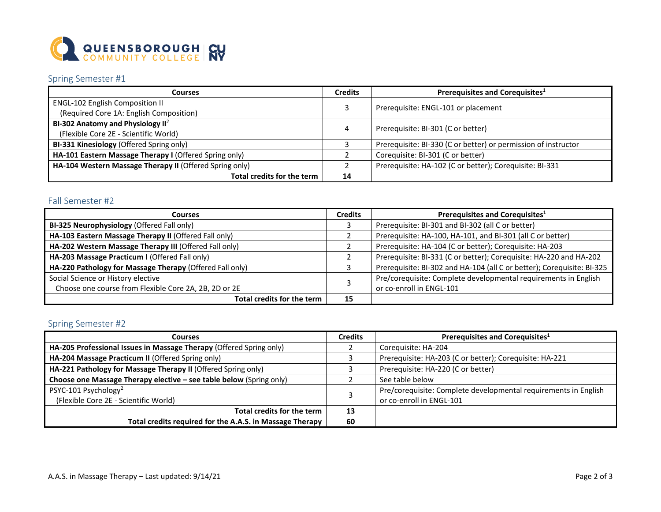

## Spring Semester #1

| <b>Courses</b>                                          |    | Prerequisites and Corequisites <sup>1</sup>                    |  |
|---------------------------------------------------------|----|----------------------------------------------------------------|--|
| <b>ENGL-102 English Composition II</b>                  |    |                                                                |  |
| (Required Core 1A: English Composition)                 |    | Prerequisite: ENGL-101 or placement                            |  |
| BI-302 Anatomy and Physiology $II^2$                    |    |                                                                |  |
| (Flexible Core 2E - Scientific World)                   | 4  | Prerequisite: BI-301 (C or better)                             |  |
| BI-331 Kinesiology (Offered Spring only)                |    | Prerequisite: BI-330 (C or better) or permission of instructor |  |
| HA-101 Eastern Massage Therapy I (Offered Spring only)  |    | Corequisite: BI-301 (C or better)                              |  |
| HA-104 Western Massage Therapy II (Offered Spring only) |    | Prerequisite: HA-102 (C or better); Corequisite: BI-331        |  |
| Total credits for the term                              | 14 |                                                                |  |

### Fall Semester #2

| <b>Courses</b>                                           |    | Prerequisites and Corequisites <sup>1</sup>                            |  |
|----------------------------------------------------------|----|------------------------------------------------------------------------|--|
| BI-325 Neurophysiology (Offered Fall only)               |    | Prerequisite: BI-301 and BI-302 (all C or better)                      |  |
| HA-103 Eastern Massage Therapy II (Offered Fall only)    |    | Prerequisite: HA-100, HA-101, and BI-301 (all C or better)             |  |
| HA-202 Western Massage Therapy III (Offered Fall only)   |    | Prerequisite: HA-104 (C or better); Corequisite: HA-203                |  |
| HA-203 Massage Practicum I (Offered Fall only)           |    | Prerequisite: BI-331 (C or better); Corequisite: HA-220 and HA-202     |  |
| HA-220 Pathology for Massage Therapy (Offered Fall only) |    | Prerequisite: BI-302 and HA-104 (all C or better); Corequisite: BI-325 |  |
| Social Science or History elective                       |    | Pre/corequisite: Complete developmental requirements in English        |  |
| Choose one course from Flexible Core 2A, 2B, 2D or 2E    |    | or co-enroll in ENGL-101                                               |  |
| Total credits for the term                               | 15 |                                                                        |  |

## Spring Semester #2

| <b>Courses</b>                                                      |    | Prerequisites and Corequisites <sup>1</sup>                     |  |
|---------------------------------------------------------------------|----|-----------------------------------------------------------------|--|
| HA-205 Professional Issues in Massage Therapy (Offered Spring only) |    | Corequisite: HA-204                                             |  |
| HA-204 Massage Practicum II (Offered Spring only)                   |    | Prerequisite: HA-203 (C or better); Corequisite: HA-221         |  |
| HA-221 Pathology for Massage Therapy II (Offered Spring only)       |    | Prerequisite: HA-220 (C or better)                              |  |
| Choose one Massage Therapy elective - see table below (Spring only) |    | See table below                                                 |  |
| PSYC-101 Psychology <sup>2</sup>                                    |    | Pre/corequisite: Complete developmental requirements in English |  |
| (Flexible Core 2E - Scientific World)                               |    | or co-enroll in ENGL-101                                        |  |
| Total credits for the term                                          | 13 |                                                                 |  |
| Total credits required for the A.A.S. in Massage Therapy            | 60 |                                                                 |  |